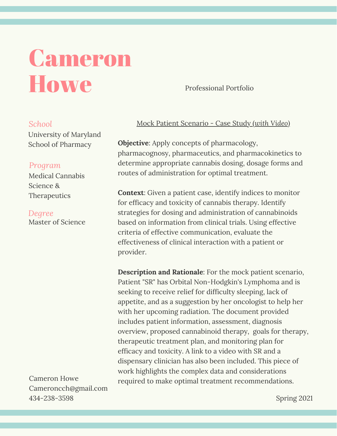# Cameron Howe

Professional Portfolio

# *School*

University of Maryland School of Pharmacy

# *Program*

Medical Cannabis Science & **Therapeutics** 

Master of Science *Degree*

Cameron Howe Cameroncch@gmail.com 434-238-3598

# Mock Patient Scenario - Case Study (*with Video)*

**Objective**: Apply concepts of pharmacology, pharmacognosy, pharmaceutics, and pharmacokinetics to determine appropriate cannabis dosing, dosage forms and routes of administration for optimal treatment.

**Context**: Given a patient case, identify indices to monitor for efficacy and toxicity of cannabis therapy. Identify strategies for dosing and administration of cannabinoids based on information from clinical trials. Using effective criteria of effective communication, evaluate the effectiveness of clinical interaction with a patient or provider.

**Description and Rationale**: For the mock patient scenario, Patient "SR" has Orbital Non-Hodgkin's Lymphoma and is seeking to receive relief for difficulty sleeping, lack of appetite, and as a suggestion by her oncologist to help her with her upcoming radiation. The document provided includes patient information, assessment, diagnosis overview, proposed cannabinoid therapy, goals for therapy, therapeutic treatment plan, and monitoring plan for efficacy and toxicity. A link to a video with SR and a dispensary clinician has also been included. This piece of work highlights the complex data and considerations required to make optimal treatment recommendations.

Spring 2021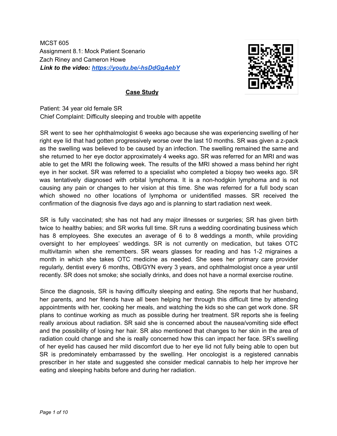MCST 605 Assignment 8.1: Mock Patient Scenario Zach Riney and Cameron Howe *Link to the video: https://youtu.be/-hsDdGgAebY*



# **Case Study**

Patient: 34 year old female SR Chief Complaint: Difficulty sleeping and trouble with appetite

SR went to see her ophthalmologist 6 weeks ago because she was experiencing swelling of her right eye lid that had gotten progressively worse over the last 10 months. SR was given a z-pack as the swelling was believed to be caused by an infection. The swelling remained the same and she returned to her eye doctor approximately 4 weeks ago. SR was referred for an MRI and was able to get the MRI the following week. The results of the MRI showed a mass behind her right eye in her socket. SR was referred to a specialist who completed a biopsy two weeks ago. SR was tentatively diagnosed with orbital lymphoma. It is a non-hodgkin lymphoma and is not causing any pain or changes to her vision at this time. She was referred for a full body scan which showed no other locations of lymphoma or unidentified masses. SR received the confirmation of the diagnosis five days ago and is planning to start radiation next week.

SR is fully vaccinated; she has not had any major illnesses or surgeries; SR has given birth twice to healthy babies; and SR works full time. SR runs a wedding coordinating business which has 8 employees. She executes an average of 6 to 8 weddings a month, while providing oversight to her employees' weddings. SR is not currently on medication, but takes OTC multivitamin when she remembers. SR wears glasses for reading and has 1-2 migraines a month in which she takes OTC medicine as needed. She sees her primary care provider regularly, dentist every 6 months, OB/GYN every 3 years, and ophthalmologist once a year until recently. SR does not smoke; she socially drinks, and does not have a normal exercise routine.

Since the diagnosis, SR is having difficulty sleeping and eating. She reports that her husband, her parents, and her friends have all been helping her through this difficult time by attending appointments with her, cooking her meals, and watching the kids so she can get work done. SR plans to continue working as much as possible during her treatment. SR reports she is feeling really anxious about radiation. SR said she is concerned about the nausea/vomiting side effect and the possibility of losing her hair. SR also mentioned that changes to her skin in the area of radiation could change and she is really concerned how this can impact her face. SR's swelling of her eyelid has caused her mild discomfort due to her eye lid not fully being able to open but SR is predominately embarrassed by the swelling. Her oncologist is a registered cannabis prescriber in her state and suggested she consider medical cannabis to help her improve her eating and sleeping habits before and during her radiation.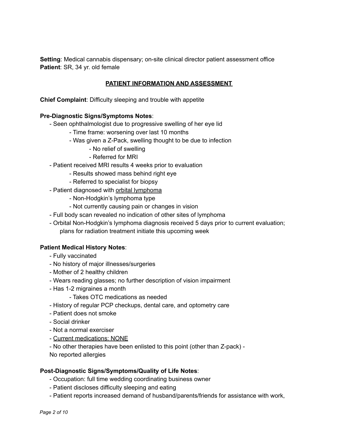**Setting**: Medical cannabis dispensary; on-site clinical director patient assessment office **Patient**: SR, 34 yr. old female

# **PATIENT INFORMATION AND ASSESSMENT**

**Chief Complaint**: Difficulty sleeping and trouble with appetite

### **Pre-Diagnostic Signs/Symptoms Notes**:

- Seen ophthalmologist due to progressive swelling of her eye lid
	- Time frame: worsening over last 10 months
	- Was given a Z-Pack, swelling thought to be due to infection
		- No relief of swelling
		- Referred for MRI
- Patient received MRI results 4 weeks prior to evaluation
	- Results showed mass behind right eye
	- Referred to specialist for biopsy
- Patient diagnosed with orbital lymphoma
	- Non-Hodgkin's lymphoma type
	- Not currently causing pain or changes in vision
- Full body scan revealed no indication of other sites of lymphoma
- Orbital Non-Hodgkin's lymphoma diagnosis received 5 days prior to current evaluation; plans for radiation treatment initiate this upcoming week

#### **Patient Medical History Notes**:

- Fully vaccinated
- No history of major illnesses/surgeries
- Mother of 2 healthy children
- Wears reading glasses; no further description of vision impairment
- Has 1-2 migraines a month
	- Takes OTC medications as needed
- History of regular PCP checkups, dental care, and optometry care
- Patient does not smoke
- Social drinker
- Not a normal exerciser
- Current medications: NONE
- No other therapies have been enlisted to this point (other than Z-pack) -
- No reported allergies

#### **Post-Diagnostic Signs/Symptoms/Quality of Life Notes**:

- Occupation: full time wedding coordinating business owner
- Patient discloses difficulty sleeping and eating
- Patient reports increased demand of husband/parents/friends for assistance with work,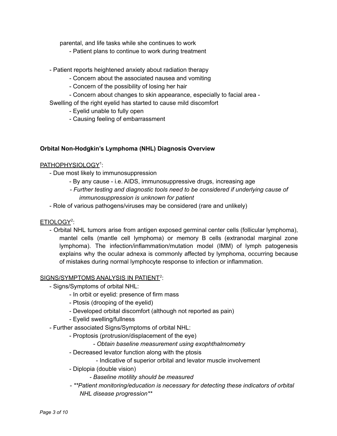parental, and life tasks while she continues to work

- Patient plans to continue to work during treatment
- Patient reports heightened anxiety about radiation therapy
	- Concern about the associated nausea and vomiting
	- Concern of the possibility of losing her hair
	- Concern about changes to skin appearance, especially to facial area -
- Swelling of the right eyelid has started to cause mild discomfort
	- Eyelid unable to fully open
	- Causing feeling of embarrassment

# **Orbital Non-Hodgkin's Lymphoma (NHL) Diagnosis Overview**

# PATHOPHYSIOLOGY 1 :

- Due most likely to immunosuppression
	- By any cause i.e. AIDS, immunosuppressive drugs, increasing age
	- *- Further testing and diagnostic tools need to be considered if underlying cause of immunosuppression is unknown for patient*
- Role of various pathogens/viruses may be considered (rare and unlikely)

# ETIOLOGY<sup>2</sup>:

- Orbital NHL tumors arise from antigen exposed germinal center cells (follicular lymphoma), mantel cells (mantle cell lymphoma) or memory B cells (extranodal marginal zone lymphoma). The infection/inflammation/mutation model (IMM) of lymph patogenesis explains why the ocular adnexa is commonly affected by lymphoma, occurring because of mistakes during normal lymphocyte response to infection or inflammation.

# SIGNS/SYMPTOMS ANALYSIS IN PATIENT<sup>2</sup>:

- Signs/Symptoms of orbital NHL:
	- In orbit or eyelid: presence of firm mass
	- Ptosis (drooping of the eyelid)
	- Developed orbital discomfort (although not reported as pain)
	- Eyelid swelling/fullness
- Further associated Signs/Symptoms of orbital NHL:
	- Proptosis (protrusion/displacement of the eye)
		- *- Obtain baseline measurement using exophthalmometry*
	- Decreased levator function along with the ptosis
		- Indicative of superior orbital and levator muscle involvement
	- Diplopia (double vision)
		- *- Baseline motility should be measured*
	- *- \*\*Patient monitoring/education is necessary for detecting these indicators of orbital NHL disease progression\*\**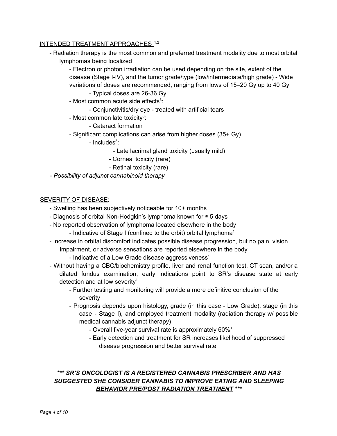# INTENDED TREATMENT APPROACHES.<sup>1,2</sup>

- Radiation therapy is the most common and preferred treatment modality due to most orbital lymphomas being localized

- Electron or photon irradiation can be used depending on the site, extent of the disease (Stage I-IV), and the tumor grade/type (low/intermediate/high grade) - Wide variations of doses are recommended, ranging from lows of 15–20 Gy up to 40 Gy

- Typical doses are 26-36 Gy

- Most common acute side effects<sup>3</sup>:
	- Conjunctivitis/dry eye treated with artificial tears
- Most common late toxicity<sup>3</sup>:

- Cataract formation

- Significant complications can arise from higher doses (35+ Gy)

- Includes<sup>3</sup>:

- Late lacrimal gland toxicity (usually mild)

- Corneal toxicity (rare)

- Retinal toxicity (rare)
- *- Possibility of adjunct cannabinoid therapy*

#### SEVERITY OF DISEASE:

- Swelling has been subjectively noticeable for 10+ months
- Diagnosis of orbital Non-Hodgkin's lymphoma known for ≅ 5 days
- No reported observation of lymphoma located elsewhere in the body
	- Indicative of Stage I (confined to the orbit) orbital lymphoma<sup>1</sup>
- Increase in orbital discomfort indicates possible disease progression, but no pain, vision impairment, or adverse sensations are reported elsewhere in the body
	- Indicative of a Low Grade disease aggressiveness<sup>1</sup>
- Without having a CBC/biochemistry profile, liver and renal function test, CT scan, and/or a dilated fundus examination, early indications point to SR's disease state at early detection and at low severity<sup>1</sup>
	- Further testing and monitoring will provide a more definitive conclusion of the severity
	- Prognosis depends upon histology, grade (in this case Low Grade), stage (in this case - Stage I), and employed treatment modality (radiation therapy w/ possible medical cannabis adjunct therapy)
		- Overall five-year survival rate is approximately 60%<sup>1</sup>
		- Early detection and treatment for SR increases likelihood of suppressed disease progression and better survival rate

# *\*\*\* SR'S ONCOLOGIST IS A REGISTERED CANNABIS PRESCRIBER AND HAS SUGGESTED SHE CONSIDER CANNABIS TO IMPROVE EATING AND SLEEPING BEHAVIOR PRE/POST RADIATION TREATMENT \*\*\**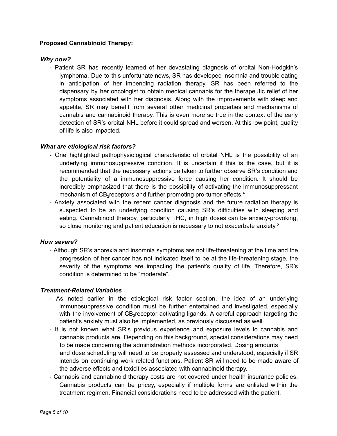# **Proposed Cannabinoid Therapy:**

# *Why now?*

- Patient SR has recently learned of her devastating diagnosis of orbital Non-Hodgkin's lymphoma. Due to this unfortunate news, SR has developed insomnia and trouble eating in anticipation of her impending radiation therapy. SR has been referred to the dispensary by her oncologist to obtain medical cannabis for the therapeutic relief of her symptoms associated with her diagnosis. Along with the improvements with sleep and appetite, SR may benefit from several other medicinal properties and mechanisms of cannabis and cannabinoid therapy. This is even more so true in the context of the early detection of SR's orbital NHL before it could spread and worsen. At this low point, quality of life is also impacted.

# *What are etiological risk factors?*

- One highlighted pathophysiological characteristic of orbital NHL is the possibility of an underlying immunosuppressive condition. It is uncertain if this is the case, but it is recommended that the necessary actions be taken to further observe SR's condition and the potentiality of a immunosuppressive force causing her condition. It should be incredibly emphasized that there is the possibility of activating the immunosuppressant mechanism of  $CB_2$  receptors and further promoting pro-tumor effects.<sup>4</sup>
- Anxiety associated with the recent cancer diagnosis and the future radiation therapy is suspected to be an underlying condition causing SR's difficulties with sleeping and eating. Cannabinoid therapy, particularly THC, in high doses can be anxiety-provoking, so close monitoring and patient education is necessary to not exacerbate anxiety.<sup>5</sup>

#### *How severe?*

- Although SR's anorexia and insomnia symptoms are not life-threatening at the time and the progression of her cancer has not indicated itself to be at the life-threatening stage, the severity of the symptoms are impacting the patient's quality of life. Therefore, SR's condition is determined to be "moderate".

# *Treatment-Related Variables*

- As noted earlier in the etiological risk factor section, the idea of an underlying immunosuppressive condition must be further entertained and investigated, especially with the involvement of  $CB_2$ receptor activating ligands. A careful approach targeting the patient's anxiety must also be implemented, as previously discussed as well.
- It is not known what SR's previous experience and exposure levels to cannabis and cannabis products are. Depending on this background, special considerations may need to be made concerning the administration methods incorporated. Dosing amounts and dose scheduling will need to be properly assessed and understood, especially if SR intends on continuing work related functions. Patient SR will need to be made aware of the adverse effects and toxicities associated with cannabinoid therapy.
- Cannabis and cannabinoid therapy costs are not covered under health insurance policies. Cannabis products can be pricey, especially if multiple forms are enlisted within the treatment regimen. Financial considerations need to be addressed with the patient.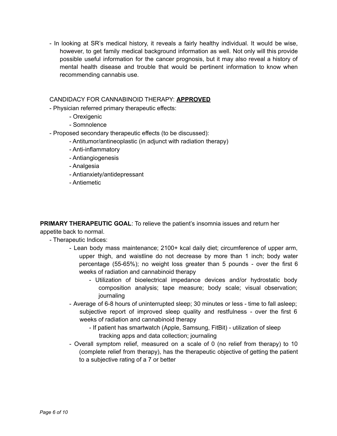- In looking at SR's medical history, it reveals a fairly healthy individual. It would be wise, however, to get family medical background information as well. Not only will this provide possible useful information for the cancer prognosis, but it may also reveal a history of mental health disease and trouble that would be pertinent information to know when recommending cannabis use.

# CANDIDACY FOR CANNABINOID THERAPY: **APPROVED**

- Physician referred primary therapeutic effects:
	- Orexigenic
	- Somnolence
- Proposed secondary therapeutic effects (to be discussed):
	- Antitumor/antineoplastic (in adjunct with radiation therapy)
	- Anti-inflammatory
	- Antiangiogenesis
	- Analgesia
	- Antianxiety/antidepressant
	- Antiemetic

**PRIMARY THERAPEUTIC GOAL**: To relieve the patient's insomnia issues and return her appetite back to normal.

- Therapeutic Indices:
	- Lean body mass maintenance; 2100+ kcal daily diet; circumference of upper arm, upper thigh, and waistline do not decrease by more than 1 inch; body water percentage (55-65%); no weight loss greater than 5 pounds - over the first 6 weeks of radiation and cannabinoid therapy
		- Utilization of bioelectrical impedance devices and/or hydrostatic body composition analysis; tape measure; body scale; visual observation; journaling
	- Average of 6-8 hours of uninterrupted sleep; 30 minutes or less time to fall asleep; subjective report of improved sleep quality and restfulness - over the first 6 weeks of radiation and cannabinoid therapy
		- If patient has smartwatch (Apple, Samsung, FitBit) utilization of sleep tracking apps and data collection; journaling
	- Overall symptom relief, measured on a scale of 0 (no relief from therapy) to 10 (complete relief from therapy), has the therapeutic objective of getting the patient to a subjective rating of a 7 or better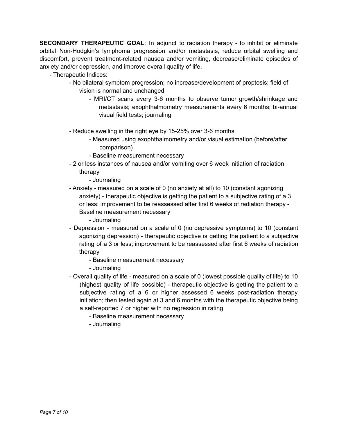**SECONDARY THERAPEUTIC GOAL**: In adjunct to radiation therapy - to inhibit or eliminate orbital Non-Hodgkin's lymphoma progression and/or metastasis, reduce orbital swelling and discomfort, prevent treatment-related nausea and/or vomiting, decrease/eliminate episodes of anxiety and/or depression, and improve overall quality of life.

- Therapeutic Indices:

- No bilateral symptom progression; no increase/development of proptosis; field of vision is normal and unchanged
	- MRI/CT scans every 3-6 months to observe tumor growth/shrinkage and metastasis; exophthalmometry measurements every 6 months; bi-annual visual field tests; journaling
- Reduce swelling in the right eye by 15-25% over 3-6 months
	- Measured using exophthalmometry and/or visual estimation (before/after comparison)
	- Baseline measurement necessary
- 2 or less instances of nausea and/or vomiting over 6 week initiation of radiation therapy

- Journaling

- Anxiety - measured on a scale of 0 (no anxiety at all) to 10 (constant agonizing anxiety) - therapeutic objective is getting the patient to a subjective rating of a 3 or less; improvement to be reassessed after first 6 weeks of radiation therapy - Baseline measurement necessary

- Journaling

- Depression measured on a scale of 0 (no depressive symptoms) to 10 (constant agonizing depression) - therapeutic objective is getting the patient to a subjective rating of a 3 or less; improvement to be reassessed after first 6 weeks of radiation therapy
	- Baseline measurement necessary
	- Journaling
- Overall quality of life measured on a scale of 0 (lowest possible quality of life) to 10 (highest quality of life possible) - therapeutic objective is getting the patient to a subjective rating of a 6 or higher assessed 6 weeks post-radiation therapy initiation; then tested again at 3 and 6 months with the therapeutic objective being a self-reported 7 or higher with no regression in rating
	- Baseline measurement necessary
	- Journaling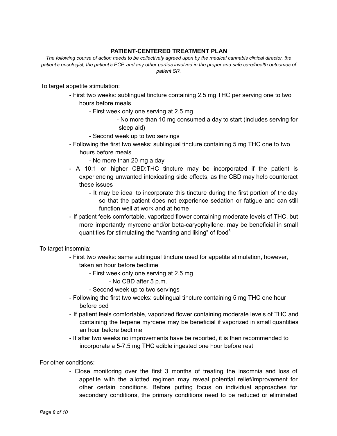# **PATIENT-CENTERED TREATMENT PLAN**

*The following course of action needs to be collectively agreed upon by the medical cannabis clinical director, the patient's oncologist, the patient's PCP, and any other parties involved in the proper and safe care/health outcomes of patient SR.*

To target appetite stimulation:

- First two weeks: sublingual tincture containing 2.5 mg THC per serving one to two hours before meals
	- First week only one serving at 2.5 mg
		- No more than 10 mg consumed a day to start (includes serving for sleep aid)
	- Second week up to two servings
- Following the first two weeks: sublingual tincture containing 5 mg THC one to two hours before meals
	- No more than 20 mg a day
- A 10:1 or higher CBD:THC tincture may be incorporated if the patient is experiencing unwanted intoxicating side effects, as the CBD may help counteract these issues
	- It may be ideal to incorporate this tincture during the first portion of the day so that the patient does not experience sedation or fatigue and can still function well at work and at home
- If patient feels comfortable, vaporized flower containing moderate levels of THC, but more importantly myrcene and/or beta-caryophyllene, may be beneficial in small quantities for stimulating the "wanting and liking" of food<sup>6</sup>

To target insomnia:

- First two weeks: same sublingual tincture used for appetite stimulation, however, taken an hour before bedtime
	- First week only one serving at 2.5 mg
		- No CBD after 5 p.m.
	- Second week up to two servings
- Following the first two weeks: sublingual tincture containing 5 mg THC one hour before bed
- If patient feels comfortable, vaporized flower containing moderate levels of THC and containing the terpene myrcene may be beneficial if vaporized in small quantities an hour before bedtime
- If after two weeks no improvements have be reported, it is then recommended to incorporate a 5-7.5 mg THC edible ingested one hour before rest

For other conditions:

- Close monitoring over the first 3 months of treating the insomnia and loss of appetite with the allotted regimen may reveal potential relief/improvement for other certain conditions. Before putting focus on individual approaches for secondary conditions, the primary conditions need to be reduced or eliminated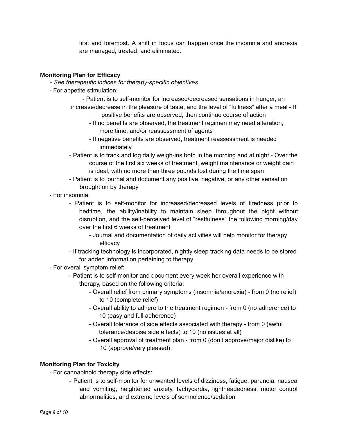first and foremost. A shift in focus can happen once the insomnia and anorexia are managed, treated, and eliminated.

# **Monitoring Plan for Efficacy**

- *- See therapeutic indices for therapy-specific objectives*
- For appetite stimulation:
	- Patient is to self-monitor for increased/decreased sensations in hunger, an increase/decrease in the pleasure of taste, and the level of "fullness" after a meal - If positive benefits are observed, then continue course of action
		- If no benefits are observed, the treatment regimen may need alteration, more time, and/or reassessment of agents
		- If negative benefits are observed, treatment reassessment is needed immediately
	- Patient is to track and log daily weigh-ins both in the morning and at night Over the course of the first six weeks of treatment, weight maintenance or weight gain is ideal, with no more than three pounds lost during the time span
	- Patient is to journal and document any positive, negative, or any other sensation brought on by therapy
- For insomnia:
	- Patient is to self-monitor for increased/decreased levels of tiredness prior to bedtime, the ability/inability to maintain sleep throughout the night without disruption, and the self-perceived level of "restfulness" the following morning/day over the first 6 weeks of treatment
		- Journal and documentation of daily activities will help monitor for therapy efficacy
	- If tracking technology is incorporated, nightly sleep tracking data needs to be stored for added information pertaining to therapy
- For overall symptom relief:
	- Patient is to self-monitor and document every week her overall experience with therapy, based on the following criteria:
		- Overall relief from primary symptoms (insomnia/anorexia) from 0 (no relief) to 10 (complete relief)
		- Overall ability to adhere to the treatment regimen from 0 (no adherence) to 10 (easy and full adherence)
		- Overall tolerance of side effects associated with therapy from 0 (awful tolerance/despise side effects) to 10 (no issues at all)
		- Overall approval of treatment plan from 0 (don't approve/major dislike) to 10 (approve/very pleased)

# **Monitoring Plan for Toxicity**

- For cannabinoid therapy side effects:
	- Patient is to self-monitor for unwanted levels of dizziness, fatigue, paranoia, nausea and vomiting, heightened anxiety, tachycardia, lightheadedness, motor control abnormalities, and extreme levels of somnolence/sedation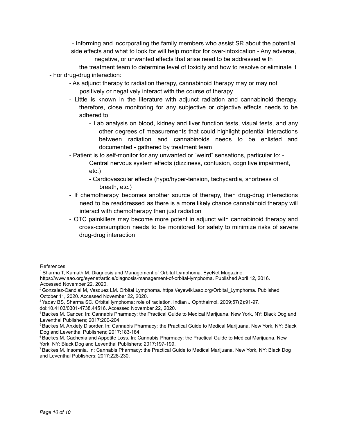- Informing and incorporating the family members who assist SR about the potential side effects and what to look for will help monitor for over-intoxication - Any adverse, negative, or unwanted effects that arise need to be addressed with

the treatment team to determine level of toxicity and how to resolve or eliminate it - For drug-drug interaction:

- As adjunct therapy to radiation therapy, cannabinoid therapy may or may not positively or negatively interact with the course of therapy
- Little is known in the literature with adjunct radiation and cannabinoid therapy, therefore, close monitoring for any subjective or objective effects needs to be adhered to
	- Lab analysis on blood, kidney and liver function tests, visual tests, and any other degrees of measurements that could highlight potential interactions between radiation and cannabinoids needs to be enlisted and documented - gathered by treatment team
- Patient is to self-monitor for any unwanted or "weird" sensations, particular to: Central nervous system effects (dizziness, confusion, cognitive impairment, etc.)
	- Cardiovascular effects (hypo/hyper-tension, tachycardia, shortness of breath, etc.)
- If chemotherapy becomes another source of therapy, then drug-drug interactions need to be readdressed as there is a more likely chance cannabinoid therapy will interact with chemotherapy than just radiation
- OTC painkillers may become more potent in adjunct with cannabinoid therapy and cross-consumption needs to be monitored for safety to minimize risks of severe drug-drug interaction

References:

<sup>1</sup> Sharma T, Kamath M. Diagnosis and Management of Orbital Lymphoma. EyeNet Magazine.

- https://www.aao.org/eyenet/article/diagnosis-management-of-orbital-lymphoma. Published April 12, 2016. Accessed November 22, 2020.
- <sup>2</sup> Gonzalez-Candial M, Vasquez LM. Orbital Lymphoma. https://eyewiki.aao.org/Orbital\_Lymphoma. Published October 11, 2020. Accessed November 22, 2020.

<sup>3</sup>Yadav BS, Sharma SC. Orbital lymphoma: role of radiation. Indian J Ophthalmol. 2009;57(2):91-97.

doi:10.4103/0301-4738.44516. Accessed November 22, 2020.

<sup>4</sup>Backes M. Cancer. In: Cannabis Pharmacy: the Practical Guide to Medical Marijuana. New York, NY: Black Dog and Leventhal Publishers; 2017:200-204.

<sup>5</sup> Backes M. Anxiety Disorder. In: Cannabis Pharmacy: the Practical Guide to Medical Marijuana. New York, NY: Black Dog and Leventhal Publishers; 2017:183-184.

<sup>6</sup> Backes M. Cachexia and Appetite Loss. In: Cannabis Pharmacy: the Practical Guide to Medical Marijuana. New York, NY: Black Dog and Leventhal Publishers; 2017:197-199.

<sup>7</sup>Backes M. Insomnia. In: Cannabis Pharmacy: the Practical Guide to Medical Marijuana. New York, NY: Black Dog and Leventhal Publishers; 2017:228-230.